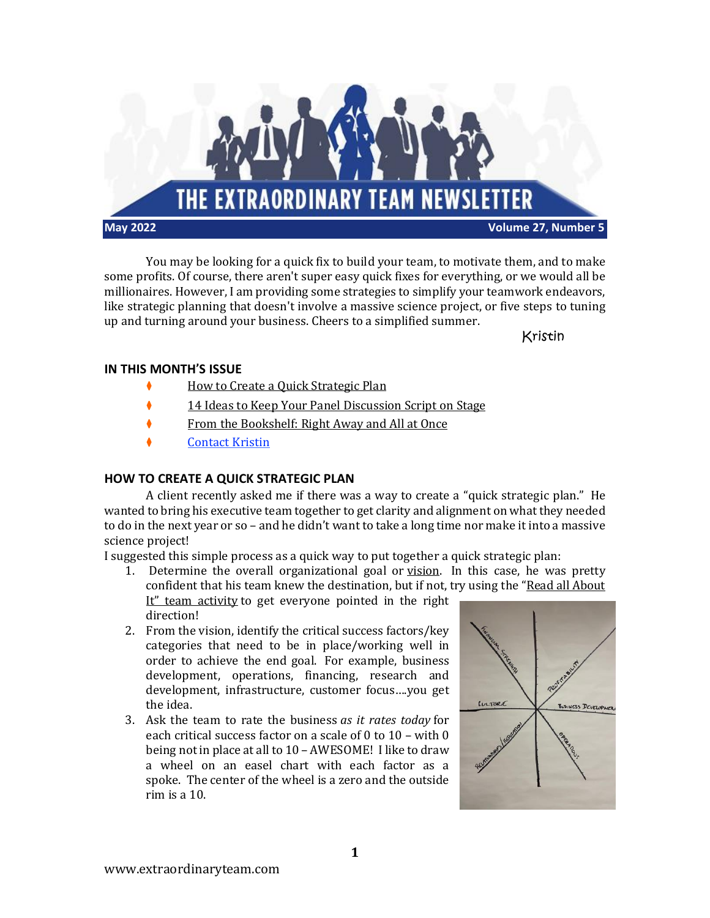

You may be looking for a quick fix to build your team, to motivate them, and to make some profits. Of course, there aren't super easy quick fixes for everything, or we would all be millionaires. However, I am providing some strategies to simplify your teamwork endeavors, like strategic planning that doesn't involve a massive science project, or five steps to tuning up and turning around your business. Cheers to a simplified summer.

Kristin

# **IN THIS MONTH'S ISSUE**

- ⧫ How to Create a Quick [Strategic](#page-0-0) Plan
- ⧫ 14 Ideas to Keep Your Panel [Discussion](#page-1-0) Script on Stage
- ⧫ From the [Bookshelf:](#page-2-0) Right Away and All at Once
- ◆ [Contact](#page-2-1) Kristin

# <span id="page-0-0"></span>**HOW TO CREATE A QUICK STRATEGIC PLAN**

A client recently asked me if there was a way to create a "quick strategic plan." He wanted to bring his executive team together to get clarity and alignment on what they needed to do in the next year or so – and he didn't want to take a long time nor make it into a massive science project!

I suggested this simple process as a quick way to put together a quick strategic plan:

- 1. Determine the overall organizational goal or [vision.](https://extraordinaryteam.com/the-better-way-to-craft-a-team-vision-statement/) In this case, he was pretty confident that his team knew the destination, but if not, try using the "Read all [About](https://extraordinaryteam.com/team-building-activity-read-all-about-it/) It" team [activity](https://extraordinaryteam.com/team-building-activity-read-all-about-it/) to get everyone pointed in the right direction!
- 2. From the vision, identify the critical success factors/key categories that need to be in place/working well in order to achieve the end goal. For example, business development, operations, financing, research and development, infrastructure, customer focus….you get the idea.
- 3. Ask the team to rate the business *as it rates today* for each critical success factor on a scale of 0 to 10 – with 0 being not in place at all to 10 – AWESOME! I like to draw a wheel on an easel chart with each factor as a spoke. The center of the wheel is a zero and the outside rim is a 10.

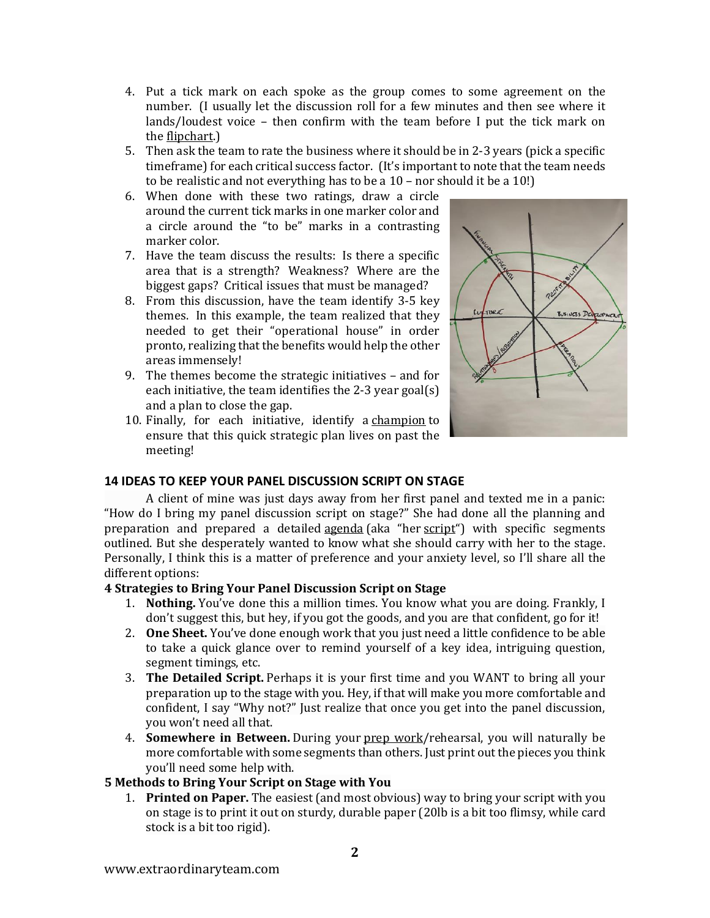- 4. Put a tick mark on each spoke as the group comes to some agreement on the number. (I usually let the discussion roll for a few minutes and then see where it lands/loudest voice – then confirm with the team before I put the tick mark on the [flipchart.](https://extraordinaryteam.com/using-flipcharts-at-your-meeting/))
- 5. Then ask the team to rate the business where it should be in 2-3 years (pick a specific timeframe) for each critical success factor. (It's important to note that the team needs to be realistic and not everything has to be a 10 – nor should it be a 10!)
- 6. When done with these two ratings, draw a circle around the current tick marks in one marker color and a circle around the "to be" marks in a contrasting marker color.
- 7. Have the team discuss the results: Is there a specific area that is a strength? Weakness? Where are the biggest gaps? Critical issues that must be managed?
- 8. From this discussion, have the team identify 3-5 key themes. In this example, the team realized that they needed to get their "operational house" in order pronto, realizing that the benefits would help the other areas immensely!
- 9. The themes become the strategic initiatives and for each initiative, the team identifies the 2-3 year goal(s) and a plan to close the gap.
- 10. Finally, for each initiative, identify a [champion](https://extraordinaryteam.com/find-a-champion-to-help-execute-your-strategic-plan/) to ensure that this quick strategic plan lives on past the meeting!



# <span id="page-1-0"></span>**14 IDEAS TO KEEP YOUR PANEL DISCUSSION SCRIPT ON STAGE**

A client of mine was just days away from her first panel and texted me in a panic: "How do I bring my panel discussion script on stage?" She had done all the planning and preparation and prepared a detailed [agenda](https://powerfulpanels.com/example-moderators-agenda-panel-discussion/) (aka "her [script](https://powerfulpanels.com/sample-script-for-a-panel-discussion/)") with specific segments outlined. But she desperately wanted to know what she should carry with her to the stage. Personally, I think this is a matter of preference and your anxiety level, so I'll share all the different options:

## **4 Strategies to Bring Your Panel Discussion Script on Stage**

- 1. **Nothing.** You've done this a million times. You know what you are doing. Frankly, I don't suggest this, but hey, if you got the goods, and you are that confident, go for it!
- 2. **One Sheet.** You've done enough work that you just need a little confidence to be able to take a quick glance over to remind yourself of a key idea, intriguing question, segment timings, etc.
- 3. **The Detailed Script.** Perhaps it is your first time and you WANT to bring all your preparation up to the stage with you. Hey, if that will make you more comfortable and confident, I say "Why not?" Just realize that once you get into the panel discussion, you won't need all that.
- 4. **Somewhere in Between.** During your prep [work/](https://powerfulpanels.com/research-every-panel-moderator-must-panel-discussion/)rehearsal, you will naturally be more comfortable with some segments than others. Just print out the pieces you think you'll need some help with.

# **5 Methods to Bring Your Script on Stage with You**

1. **Printed on Paper.** The easiest (and most obvious) way to bring your script with you on stage is to print it out on sturdy, durable paper (20lb is a bit too flimsy, while card stock is a bit too rigid).